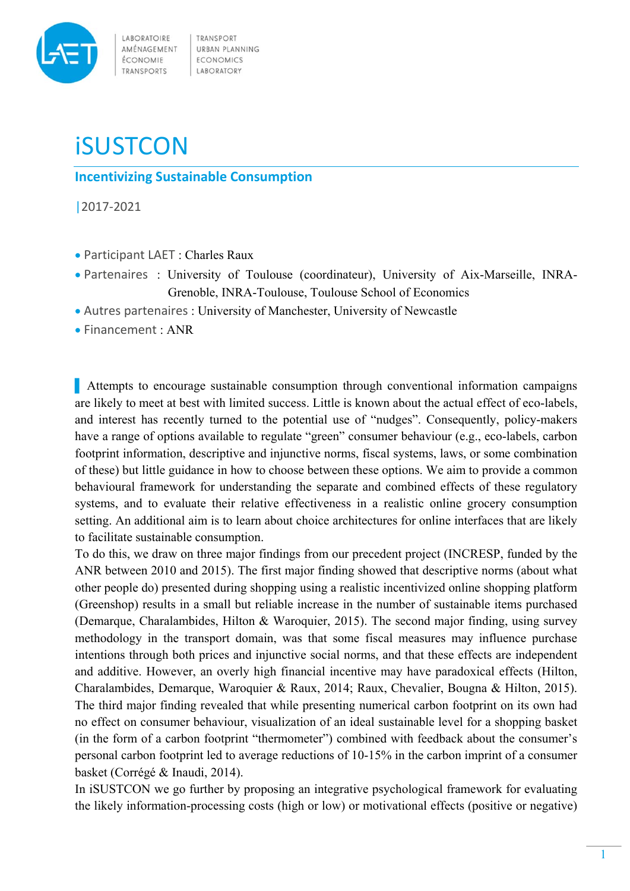

LABORATOIRE AMÉNAGEMENT ÉCONOMIE TRANSPORTS

TRANSPORT URBAN PLANNING **ECONOMICS** LABORATORY

## **iSUSTCON**

**Incentivizing Sustainable Consumption**

|2017‐2021

- Participant LAET : Charles Raux
- Partenaires : University of Toulouse (coordinateur), University of Aix-Marseille, INRA-Grenoble, INRA-Toulouse, Toulouse School of Economics
- Autres partenaires : University of Manchester, University of Newcastle
- Financement : ANR

▌ Attempts to encourage sustainable consumption through conventional information campaigns are likely to meet at best with limited success. Little is known about the actual effect of eco-labels, and interest has recently turned to the potential use of "nudges". Consequently, policy-makers have a range of options available to regulate "green" consumer behaviour (e.g., eco-labels, carbon footprint information, descriptive and injunctive norms, fiscal systems, laws, or some combination of these) but little guidance in how to choose between these options. We aim to provide a common behavioural framework for understanding the separate and combined effects of these regulatory systems, and to evaluate their relative effectiveness in a realistic online grocery consumption setting. An additional aim is to learn about choice architectures for online interfaces that are likely to facilitate sustainable consumption.

To do this, we draw on three major findings from our precedent project (INCRESP, funded by the ANR between 2010 and 2015). The first major finding showed that descriptive norms (about what other people do) presented during shopping using a realistic incentivized online shopping platform (Greenshop) results in a small but reliable increase in the number of sustainable items purchased (Demarque, Charalambides, Hilton & Waroquier, 2015). The second major finding, using survey methodology in the transport domain, was that some fiscal measures may influence purchase intentions through both prices and injunctive social norms, and that these effects are independent and additive. However, an overly high financial incentive may have paradoxical effects (Hilton, Charalambides, Demarque, Waroquier & Raux, 2014; Raux, Chevalier, Bougna & Hilton, 2015). The third major finding revealed that while presenting numerical carbon footprint on its own had no effect on consumer behaviour, visualization of an ideal sustainable level for a shopping basket (in the form of a carbon footprint "thermometer") combined with feedback about the consumer's personal carbon footprint led to average reductions of 10-15% in the carbon imprint of a consumer basket (Corrégé & Inaudi, 2014).

In iSUSTCON we go further by proposing an integrative psychological framework for evaluating the likely information-processing costs (high or low) or motivational effects (positive or negative)